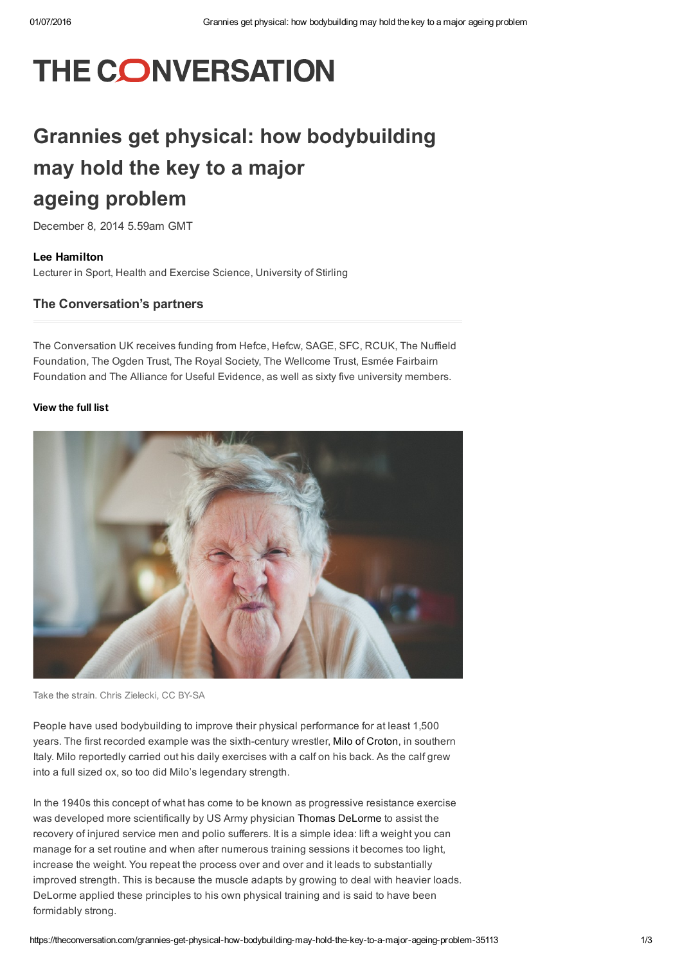# THE CONVERSATION

# Grannies get physical: how bodybuilding may hold the key to a major ageing problem

December 8, 2014 5.59am GMT

Lee [Hamilton](https://theconversation.com/profiles/lee-hamilton-147400) Lecturer in Sport, Health and Exercise Science, University of Stirling

## The Conversation's partners

The Conversation UK receives funding from Hefce, Hefcw, SAGE, SFC, RCUK, The Nuffield Foundation, The Ogden Trust, The Royal Society, The Wellcome Trust, Esmée Fairbairn Foundation and The Alliance for Useful Evidence, as well as sixty five university members.

### [View](https://theconversation.com/uk/partners) the full list



Take the strain. Chris [Zielecki,](https://www.flickr.com/photos/zanthia/12559719874/in/photolist-dYDztz-mb5m5q-jY5ysa-77XGzc-4Jw5o6-g8qAXS-e4raaW-fH6Ph-HZE2q-49qQ6-5NJx7r-7i1ev7-3yjeZZ-4Th99-6MUCzs-oykbfG-cWzreC-k8RR9o-jdzB6-aBzRb3-2ucE28-dJfAWQ-ack1Um-3Nh2iX-6zZbT8-85vyQU-41Xxu6-7MPe4X-7dNx9J-7MTatq-6c6j58-GegbS-pXuzyn-aqYwvB-4fdWhG-5ms878-7fpw6k-ht5VXC-pkgLv8-ijvuXU-Q6gpV-9c3Nfe-jsAb5-abej5Y-4191na-mtYRPv-88gJ3-ATDA-4zDCFX-9qNDQC) CC BY-SA

People have used bodybuilding to improve their physical performance for at least 1,500 years. The first recorded example was the sixth-century wrestler, Milo of [Croton](http://www.britannica.com/EBchecked/topic/383062/Milo-of-Croton), in southern Italy. Milo reportedly carried out his daily exercises with a calf on his back. As the calf grew into a full sized ox, so too did Milo's legendary strength.

In the 1940s this concept of what has come to be known as progressive resistance exercise was developed more scientifically by US Army physician Thomas [DeLorme](http://www.ncbi.nlm.nih.gov/pubmed/22592167) to assist the recovery of injured service men and polio sufferers. It is a simple idea: lift a weight you can manage for a set routine and when after numerous training sessions it becomes too light, increase the weight. You repeat the process over and over and it leads to substantially improved strength. This is because the muscle adapts by growing to deal with heavier loads. DeLorme applied these principles to his own physical training and is said to have been formidably strong.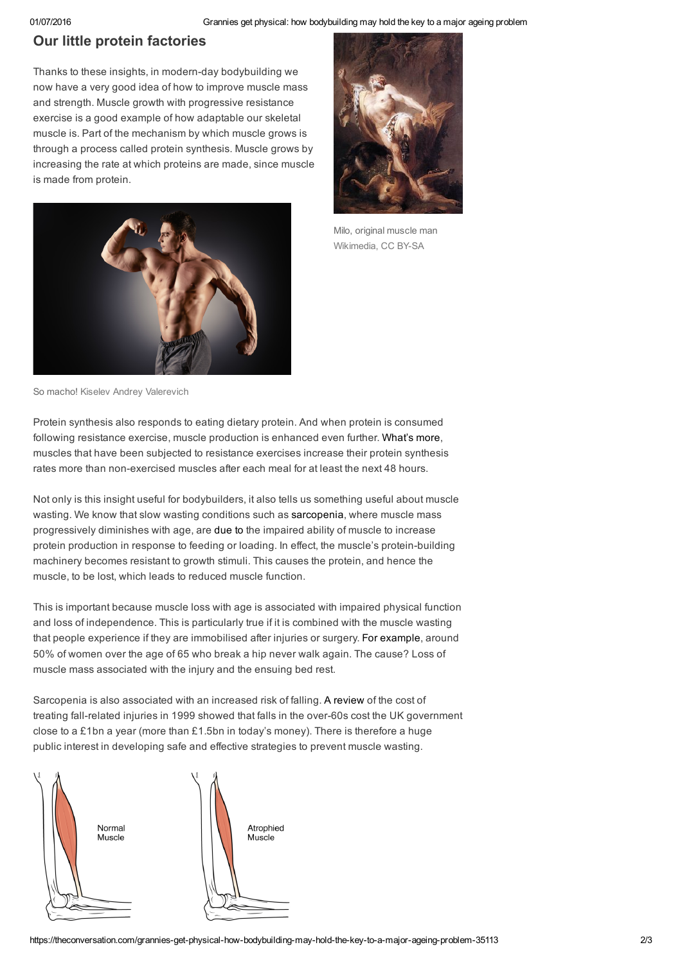01/07/2016 Grannies get physical: how bodybuilding may hold the key to a major ageing problem

# Our little protein factories

Thanks to these insights, in modern-day bodybuilding we now have a very good idea of how to improve muscle mass and strength. Muscle growth with progressive resistance exercise is a good example of how adaptable our skeletal muscle is. Part of the mechanism by which muscle grows is through a process called protein synthesis. Muscle grows by increasing the rate at which proteins are made, since muscle is made from protein.





Milo, original muscle man [Wikimedia,](https://www.flickr.com/photos/zanthia/12559719874/in/photolist-dYDztz-mb5m5q-jY5ysa-77XGzc-4Jw5o6-g8qAXS-e4raaW-fH6Ph-HZE2q-49qQ6-5NJx7r-7i1ev7-3yjeZZ-4Th99-6MUCzs-oykbfG-cWzreC-k8RR9o-jdzB6-aBzRb3-2ucE28-dJfAWQ-ack1Um-3Nh2iX-6zZbT8-85vyQU-41Xxu6-7MPe4X-7dNx9J-7MTatq-6c6j58-GegbS-pXuzyn-aqYwvB-4fdWhG-5ms878-7fpw6k-ht5VXC-pkgLv8-ijvuXU-Q6gpV-9c3Nfe-jsAb5-abej5Y-4191na-mtYRPv-88gJ3-ATDA-4zDCFX-9qNDQC) CC BY-SA

So macho! Kiselev Andrey [Valerevich](http://www.shutterstock.com/cat.mhtml?lang=en&language=en&ref_site=photo&search_source=search_form&version=llv1&anyorall=all&safesearch=1&use_local_boost=1&searchterm=bodybuilder&show_color_wheel=1&orient=&commercial_ok=&media_type=images&search_cat=&searchtermx=&photographer_name=&people_gender=&people_age=&people_ethnicity=&people_number=&color=&page=1&inline=234981475)

Protein synthesis also responds to eating dietary protein. And when protein is consumed following resistance exercise, muscle production is enhanced even further. [What's](http://jap.physiology.org/content/106/5/1692) more, muscles that have been subjected to resistance exercises increase their protein synthesis rates more than non-exercised muscles after each meal for at least the next 48 hours.

Not only is this insight useful for bodybuilders, it also tells us something useful about muscle wasting. We know that slow wasting conditions such as [sarcopenia,](http://www.webmd.com/healthy-aging/sarcopenia-with-aging) where muscle mass progressively diminishes with age, are [due](http://journals.lww.com/co-clinicalnutrition/pages/articleviewer.aspx?year=2012&issue=01000&article=00010&type=abstract) to the impaired ability of muscle to increase protein production in response to feeding or loading. In effect, the muscle's protein-building machinery becomes resistant to growth stimuli. This causes the protein, and hence the muscle, to be lost, which leads to reduced muscle function.

This is important because muscle loss with age is associated with impaired physical function and loss of independence. This is particularly true if it is combined with the muscle wasting that people experience if they are immobilised after injuries or surgery. For [example,](http://www.ncbi.nlm.nih.gov/pubmed/9302893) around 50% of women over the age of 65 who break a hip never walk again. The cause? Loss of muscle mass associated with the injury and the ensuing bed rest.

Sarcopenia is also associated with an increased risk of falling. A [review](http://jech.bmj.com/content/57/9/740.long) of the cost of treating fall-related injuries in 1999 showed that falls in the over-60s cost the UK government close to a £1bn a year (more than £1.5bn in today's money). There is therefore a huge public interest in developing safe and effective strategies to prevent muscle wasting.